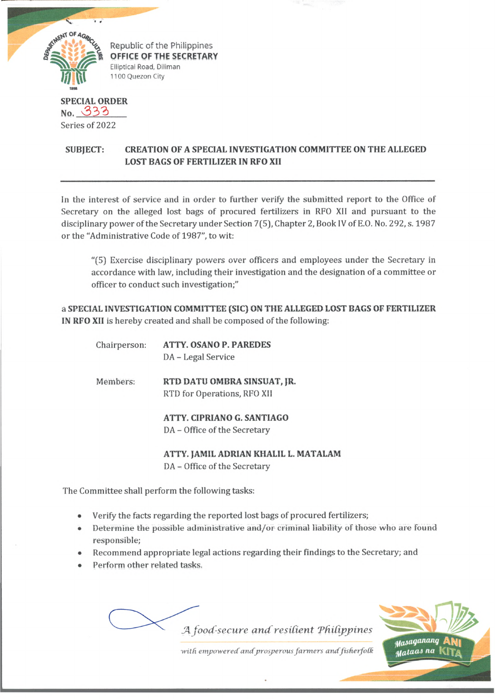

Republic of the Philippines OFFICE OF THE SECRETARY Elliptical Road, Diliman 1100 Quezon City

## **SPECIAL ORDER** no. 333 Series of 2022

## **SUBJECT: CREATION OF A SPECIAL INVESTIGATION COMMITTEE ON THE ALLEGED LOST BAGS OF FERTILIZER IN RFO XII**

In the interest of service and in order to further verify the submitted report to the Office of Secretary on the alleged lost bags of procured fertilizers in RFO Xll and pursuant to the disciplinary power of the Secretary under Section 7(5), Chapter 2, Book IV of E.O. No. 292, s. 1987 or the "Administrative Code of 1987", to wit:

"(5) Exercise disciplinary powers over officers and employees under the Secretary in accordance with law, including their investigation and the designation of a committee or officer to conduct such investigation;"

a **SPECIAL INVESTIGATION COMMITTEE (SIC) ON THE ALLEGED LOST BAGS OF FERTILIZER IN RFO XII** is hereby created and shall be composed of the following:

| Chairperson: | ATTY, OSANO P. PAREDES<br>DA - Legal Service               |
|--------------|------------------------------------------------------------|
| Members:     | RTD DATU OMBRA SINSUAT, JR.<br>RTD for Operations, RFO XII |
|              | ATTY. CIPRIANO G. SANTIAGO<br>DA - Office of the Secretary |

**ATTY. JAMIL ADRIAN KHALIL L. MATALAM** DA - Office of the Secretary

The Committee shall perform the following tasks:

- Verify the facts regarding the reported lost bags of procured fertilizers;
- Determine the possible administrative and/or criminal liability of those who are found responsible;
- Recommend appropriate legal actions regarding their findings to the Secretary; and
- Perform other related tasks.



 $with$  empowered and prosperous farmers and fisherfolk

staas na |